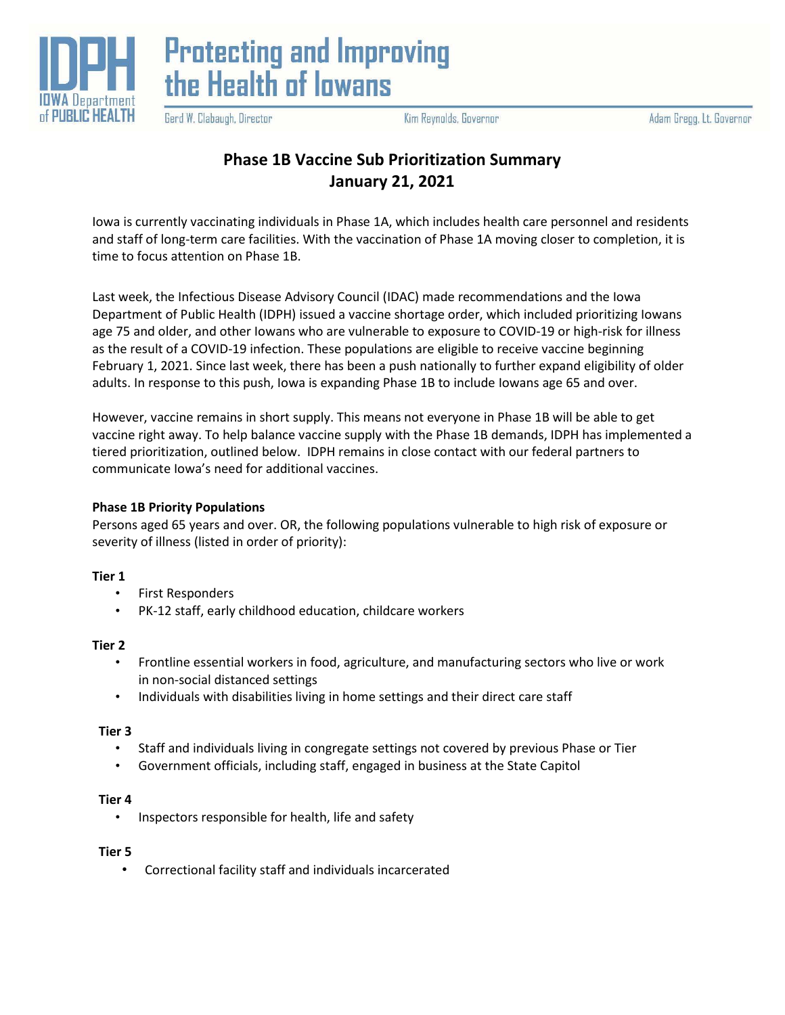



Gerd W. Clabaugh, Director

Kim Reynolds, Governor

# **Phase 1B Vaccine Sub Prioritization Summary January 21, 2021**

Iowa is currently vaccinating individuals in Phase 1A, which includes health care personnel and residents and staff of long-term care facilities. With the vaccination of Phase 1A moving closer to completion, it is time to focus attention on Phase 1B.

Last week, the Infectious Disease Advisory Council (IDAC) made recommendations and the Iowa Department of Public Health (IDPH) issued a vaccine shortage order, which included prioritizing Iowans age 75 and older, and other Iowans who are vulnerable to exposure to COVID-19 or high-risk for illness as the result of a COVID-19 infection. These populations are eligible to receive vaccine beginning February 1, 2021. Since last week, there has been a push nationally to further expand eligibility of older adults. In response to this push, Iowa is expanding Phase 1B to include Iowans age 65 and over.

However, vaccine remains in short supply. This means not everyone in Phase 1B will be able to get vaccine right away. To help balance vaccine supply with the Phase 1B demands, IDPH has implemented a tiered prioritization, outlined below. IDPH remains in close contact with our federal partners to communicate Iowa's need for additional vaccines.

## **Phase 1B Priority Populations**

Persons aged 65 years and over. OR, the following populations vulnerable to high risk of exposure or severity of illness (listed in order of priority):

## **Tier 1**

- First Responders
- PK-12 staff, early childhood education, childcare workers

## **Tier 2**

- Frontline essential workers in food, agriculture, and manufacturing sectors who live or work in non-social distanced settings
- Individuals with disabilities living in home settings and their direct care staff

## **Tier 3**

- Staff and individuals living in congregate settings not covered by previous Phase or Tier
- Government officials, including staff, engaged in business at the State Capitol

#### **Tier 4**

• Inspectors responsible for health, life and safety

#### **Tier 5**

• Correctional facility staff and individuals incarcerated